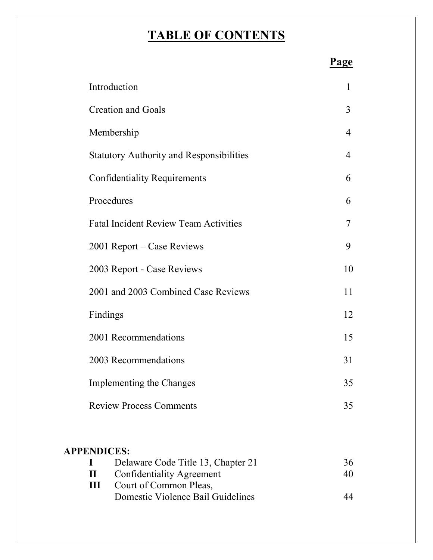# **TABLE OF CONTENTS**

|  | Page |
|--|------|
|  |      |

| Introduction                                    | $\mathbf{1}$ |
|-------------------------------------------------|--------------|
| <b>Creation and Goals</b>                       | 3            |
| Membership                                      | 4            |
| <b>Statutory Authority and Responsibilities</b> | 4            |
| <b>Confidentiality Requirements</b>             | 6            |
| Procedures                                      | 6            |
| <b>Fatal Incident Review Team Activities</b>    | 7            |
| 2001 Report – Case Reviews                      | 9            |
| 2003 Report - Case Reviews                      | 10           |
|                                                 |              |
| 2001 and 2003 Combined Case Reviews             | 11           |
| Findings                                        | 12           |
| 2001 Recommendations                            | 15           |
| 2003 Recommendations                            | 31           |
| <b>Implementing the Changes</b>                 | 35           |
| <b>Review Process Comments</b>                  | 35           |

# **APPENDICES:**

| Delaware Code Title 13, Chapter 21  | 36 |
|-------------------------------------|----|
| <b>II</b> Confidentiality Agreement | 40 |
| Court of Common Pleas,              |    |
| Domestic Violence Bail Guidelines   | 44 |
|                                     |    |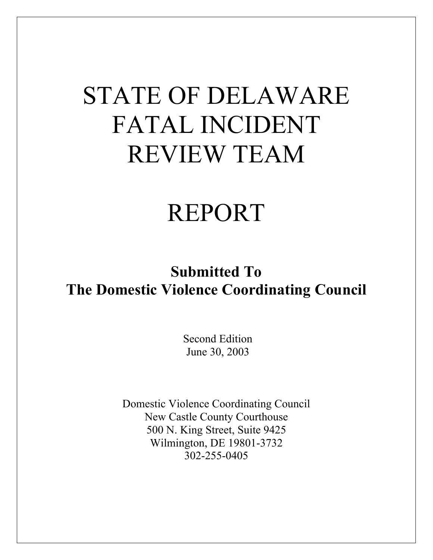# STATE OF DELAWARE FATAL INCIDENT REVIEW TEAM

# REPORT

# **Submitted To The Domestic Violence Coordinating Council**

 Second Edition June 30, 2003

Domestic Violence Coordinating Council New Castle County Courthouse 500 N. King Street, Suite 9425 Wilmington, DE 19801-3732 302-255-0405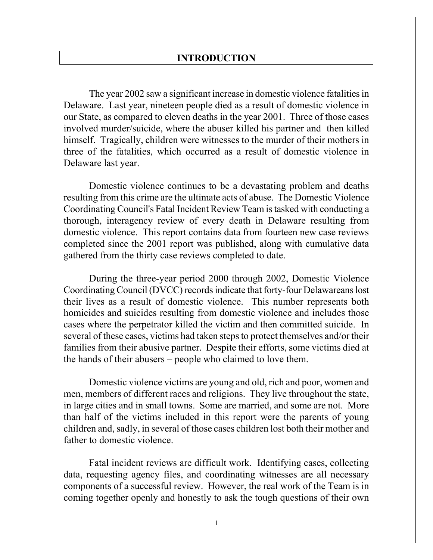#### **INTRODUCTION**

The year 2002 saw a significant increase in domestic violence fatalities in Delaware. Last year, nineteen people died as a result of domestic violence in our State, as compared to eleven deaths in the year 2001. Three of those cases involved murder/suicide, where the abuser killed his partner and then killed himself. Tragically, children were witnesses to the murder of their mothers in three of the fatalities, which occurred as a result of domestic violence in Delaware last year.

Domestic violence continues to be a devastating problem and deaths resulting from this crime are the ultimate acts of abuse. The Domestic Violence Coordinating Council's Fatal Incident Review Team is tasked with conducting a thorough, interagency review of every death in Delaware resulting from domestic violence. This report contains data from fourteen new case reviews completed since the 2001 report was published, along with cumulative data gathered from the thirty case reviews completed to date.

During the three-year period 2000 through 2002, Domestic Violence Coordinating Council (DVCC) records indicate that forty-four Delawareans lost their lives as a result of domestic violence. This number represents both homicides and suicides resulting from domestic violence and includes those cases where the perpetrator killed the victim and then committed suicide. In several of these cases, victims had taken steps to protect themselves and/or their families from their abusive partner. Despite their efforts, some victims died at the hands of their abusers – people who claimed to love them.

Domestic violence victims are young and old, rich and poor, women and men, members of different races and religions. They live throughout the state, in large cities and in small towns. Some are married, and some are not. More than half of the victims included in this report were the parents of young children and, sadly, in several of those cases children lost both their mother and father to domestic violence.

Fatal incident reviews are difficult work. Identifying cases, collecting data, requesting agency files, and coordinating witnesses are all necessary components of a successful review. However, the real work of the Team is in coming together openly and honestly to ask the tough questions of their own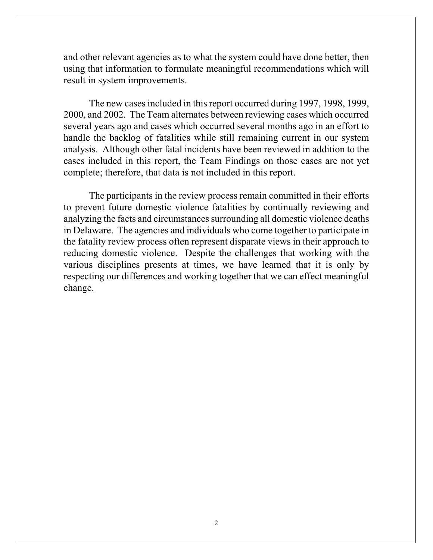and other relevant agencies as to what the system could have done better, then using that information to formulate meaningful recommendations which will result in system improvements.

The new cases included in this report occurred during 1997, 1998, 1999, 2000, and 2002. The Team alternates between reviewing cases which occurred several years ago and cases which occurred several months ago in an effort to handle the backlog of fatalities while still remaining current in our system analysis. Although other fatal incidents have been reviewed in addition to the cases included in this report, the Team Findings on those cases are not yet complete; therefore, that data is not included in this report.

The participants in the review process remain committed in their efforts to prevent future domestic violence fatalities by continually reviewing and analyzing the facts and circumstances surrounding all domestic violence deaths in Delaware. The agencies and individuals who come together to participate in the fatality review process often represent disparate views in their approach to reducing domestic violence. Despite the challenges that working with the various disciplines presents at times, we have learned that it is only by respecting our differences and working together that we can effect meaningful change.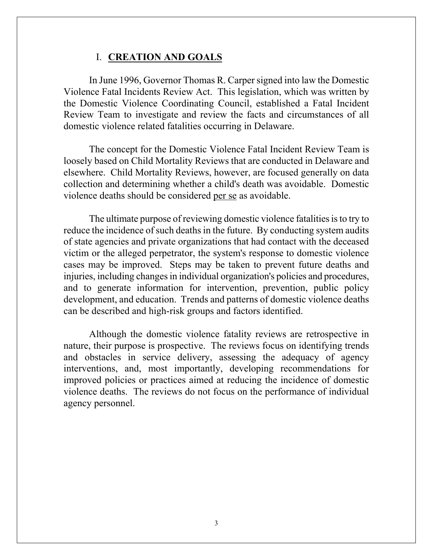#### I. **CREATION AND GOALS**

In June 1996, Governor Thomas R. Carper signed into law the Domestic Violence Fatal Incidents Review Act. This legislation, which was written by the Domestic Violence Coordinating Council, established a Fatal Incident Review Team to investigate and review the facts and circumstances of all domestic violence related fatalities occurring in Delaware.

The concept for the Domestic Violence Fatal Incident Review Team is loosely based on Child Mortality Reviews that are conducted in Delaware and elsewhere. Child Mortality Reviews, however, are focused generally on data collection and determining whether a child's death was avoidable. Domestic violence deaths should be considered per se as avoidable.

The ultimate purpose of reviewing domestic violence fatalities is to try to reduce the incidence of such deaths in the future. By conducting system audits of state agencies and private organizations that had contact with the deceased victim or the alleged perpetrator, the system's response to domestic violence cases may be improved. Steps may be taken to prevent future deaths and injuries, including changes in individual organization's policies and procedures, and to generate information for intervention, prevention, public policy development, and education. Trends and patterns of domestic violence deaths can be described and high-risk groups and factors identified.

Although the domestic violence fatality reviews are retrospective in nature, their purpose is prospective. The reviews focus on identifying trends and obstacles in service delivery, assessing the adequacy of agency interventions, and, most importantly, developing recommendations for improved policies or practices aimed at reducing the incidence of domestic violence deaths. The reviews do not focus on the performance of individual agency personnel.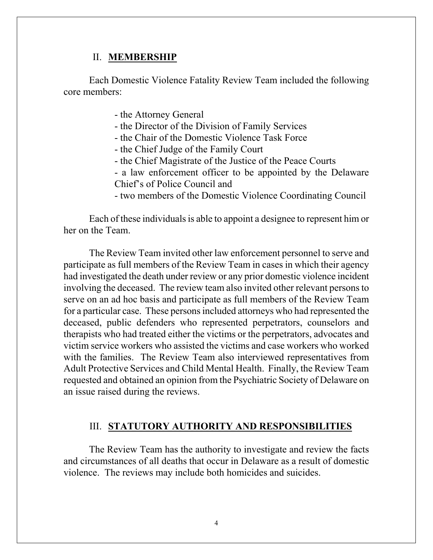#### II. **MEMBERSHIP**

Each Domestic Violence Fatality Review Team included the following core members:

- the Attorney General

- the Director of the Division of Family Services

- the Chair of the Domestic Violence Task Force

- the Chief Judge of the Family Court

- the Chief Magistrate of the Justice of the Peace Courts

- a law enforcement officer to be appointed by the Delaware Chief's of Police Council and

- two members of the Domestic Violence Coordinating Council

Each of these individuals is able to appoint a designee to represent him or her on the Team.

The Review Team invited other law enforcement personnel to serve and participate as full members of the Review Team in cases in which their agency had investigated the death under review or any prior domestic violence incident involving the deceased. The review team also invited other relevant persons to serve on an ad hoc basis and participate as full members of the Review Team for a particular case. These persons included attorneys who had represented the deceased, public defenders who represented perpetrators, counselors and therapists who had treated either the victims or the perpetrators, advocates and victim service workers who assisted the victims and case workers who worked with the families. The Review Team also interviewed representatives from Adult Protective Services and Child Mental Health. Finally, the Review Team requested and obtained an opinion from the Psychiatric Society of Delaware on an issue raised during the reviews.

#### III. **STATUTORY AUTHORITY AND RESPONSIBILITIES**

The Review Team has the authority to investigate and review the facts and circumstances of all deaths that occur in Delaware as a result of domestic violence. The reviews may include both homicides and suicides.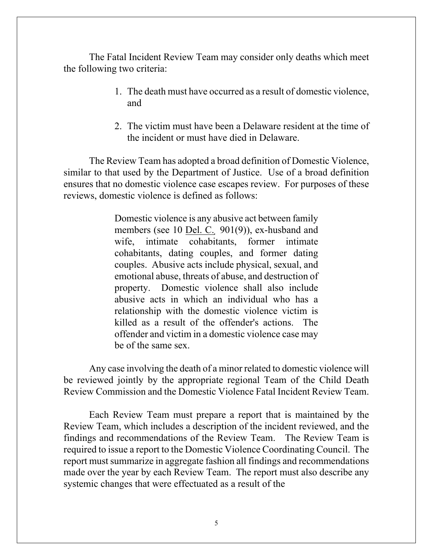The Fatal Incident Review Team may consider only deaths which meet the following two criteria:

- 1. The death must have occurred as a result of domestic violence, and
- 2. The victim must have been a Delaware resident at the time of the incident or must have died in Delaware.

The Review Team has adopted a broad definition of Domestic Violence, similar to that used by the Department of Justice. Use of a broad definition ensures that no domestic violence case escapes review. For purposes of these reviews, domestic violence is defined as follows:

> Domestic violence is any abusive act between family members (see 10 Del. C. 901(9)), ex-husband and wife, intimate cohabitants, former intimate cohabitants, dating couples, and former dating couples. Abusive acts include physical, sexual, and emotional abuse, threats of abuse, and destruction of property. Domestic violence shall also include abusive acts in which an individual who has a relationship with the domestic violence victim is killed as a result of the offender's actions. The offender and victim in a domestic violence case may be of the same sex.

Any case involving the death of a minor related to domestic violence will be reviewed jointly by the appropriate regional Team of the Child Death Review Commission and the Domestic Violence Fatal Incident Review Team.

Each Review Team must prepare a report that is maintained by the Review Team, which includes a description of the incident reviewed, and the findings and recommendations of the Review Team. The Review Team is required to issue a report to the Domestic Violence Coordinating Council. The report must summarize in aggregate fashion all findings and recommendations made over the year by each Review Team. The report must also describe any systemic changes that were effectuated as a result of the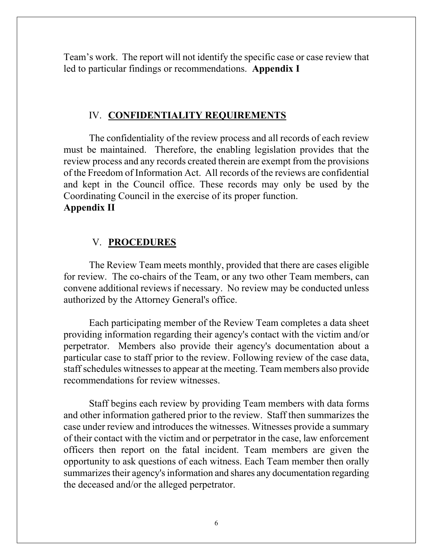Team's work. The report will not identify the specific case or case review that led to particular findings or recommendations. **Appendix I** 

#### IV. **CONFIDENTIALITY REQUIREMENTS**

The confidentiality of the review process and all records of each review must be maintained. Therefore, the enabling legislation provides that the review process and any records created therein are exempt from the provisions of the Freedom of Information Act. All records of the reviews are confidential and kept in the Council office. These records may only be used by the Coordinating Council in the exercise of its proper function. **Appendix II**

#### V. **PROCEDURES**

The Review Team meets monthly, provided that there are cases eligible for review. The co-chairs of the Team, or any two other Team members, can convene additional reviews if necessary. No review may be conducted unless authorized by the Attorney General's office.

Each participating member of the Review Team completes a data sheet providing information regarding their agency's contact with the victim and/or perpetrator. Members also provide their agency's documentation about a particular case to staff prior to the review. Following review of the case data, staff schedules witnesses to appear at the meeting. Team members also provide recommendations for review witnesses.

Staff begins each review by providing Team members with data forms and other information gathered prior to the review. Staff then summarizes the case under review and introduces the witnesses. Witnesses provide a summary of their contact with the victim and or perpetrator in the case, law enforcement officers then report on the fatal incident. Team members are given the opportunity to ask questions of each witness. Each Team member then orally summarizes their agency's information and shares any documentation regarding the deceased and/or the alleged perpetrator.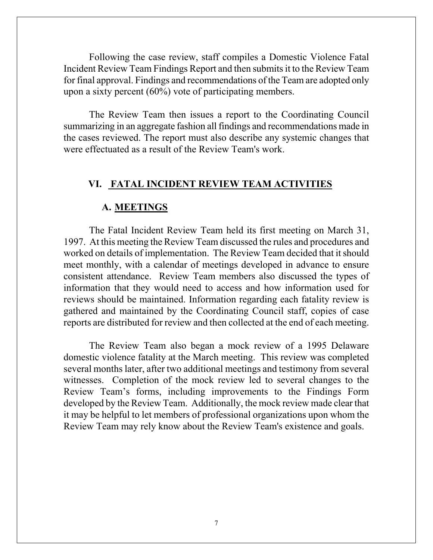Following the case review, staff compiles a Domestic Violence Fatal Incident Review Team Findings Report and then submits it to the Review Team for final approval. Findings and recommendations of the Team are adopted only upon a sixty percent (60%) vote of participating members.

The Review Team then issues a report to the Coordinating Council summarizing in an aggregate fashion all findings and recommendations made in the cases reviewed. The report must also describe any systemic changes that were effectuated as a result of the Review Team's work.

# **VI. FATAL INCIDENT REVIEW TEAM ACTIVITIES**

#### **A. MEETINGS**

The Fatal Incident Review Team held its first meeting on March 31, 1997. At this meeting the Review Team discussed the rules and procedures and worked on details of implementation. The Review Team decided that it should meet monthly, with a calendar of meetings developed in advance to ensure consistent attendance. Review Team members also discussed the types of information that they would need to access and how information used for reviews should be maintained. Information regarding each fatality review is gathered and maintained by the Coordinating Council staff, copies of case reports are distributed for review and then collected at the end of each meeting.

The Review Team also began a mock review of a 1995 Delaware domestic violence fatality at the March meeting. This review was completed several months later, after two additional meetings and testimony from several witnesses. Completion of the mock review led to several changes to the Review Team's forms, including improvements to the Findings Form developed by the Review Team. Additionally, the mock review made clear that it may be helpful to let members of professional organizations upon whom the Review Team may rely know about the Review Team's existence and goals.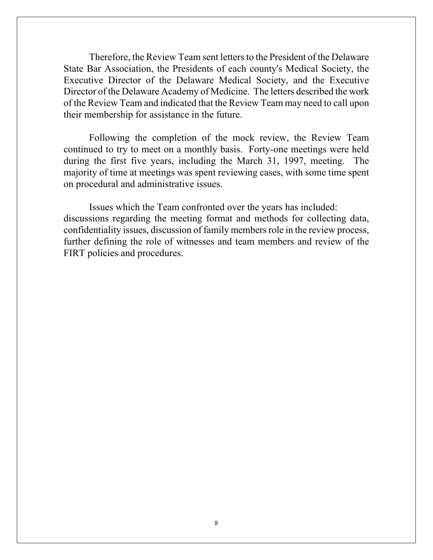Therefore, the Review Team sent letters to the President of the Delaware State Bar Association, the Presidents of each county's Medical Society, the Executive Director of the Delaware Medical Society, and the Executive Director of the Delaware Academy of Medicine. The letters described the work of the Review Team and indicated that the Review Team may need to call upon their membership for assistance in the future.

Following the completion of the mock review, the Review Team continued to try to meet on a monthly basis. Forty-one meetings were held during the first five years, including the March 31, 1997, meeting. The majority of time at meetings was spent reviewing cases, with some time spent on procedural and administrative issues.

Issues which the Team confronted over the years has included: discussions regarding the meeting format and methods for collecting data, confidentiality issues, discussion of family members role in the review process, further defining the role of witnesses and team members and review of the FIRT policies and procedures.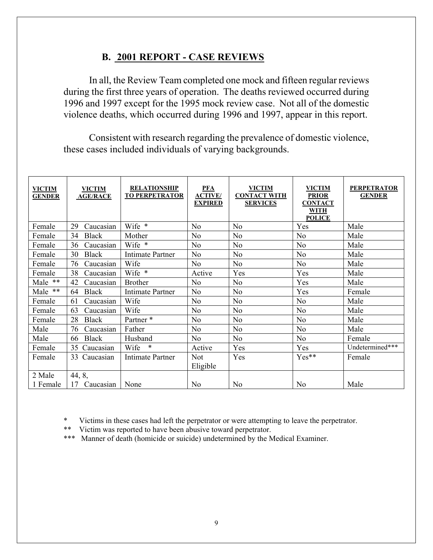# **B. 2001 REPORT - CASE REVIEWS**

In all, the Review Team completed one mock and fifteen regular reviews during the first three years of operation. The deaths reviewed occurred during 1996 and 1997 except for the 1995 mock review case. Not all of the domestic violence deaths, which occurred during 1996 and 1997, appear in this report.

Consistent with research regarding the prevalence of domestic violence, these cases included individuals of varying backgrounds.

| <b>VICTIM</b><br><b>GENDER</b> | <b>VICTIM</b><br><b>AGE/RACE</b> | <b>RELATIONSHIP</b><br><b>TO PERPETRATOR</b> | <b>PFA</b><br><b>ACTIVE</b> /<br><b>EXPIRED</b> | <b>VICTIM</b><br><b>CONTACT WITH</b><br><b>SERVICES</b> | <b>VICTIM</b><br><b>PRIOR</b><br><b>CONTACT</b><br><b>WITH</b><br><b>POLICE</b> | <b>PERPETRATOR</b><br><b>GENDER</b> |
|--------------------------------|----------------------------------|----------------------------------------------|-------------------------------------------------|---------------------------------------------------------|---------------------------------------------------------------------------------|-------------------------------------|
| Female                         | 29<br>Caucasian                  | Wife *                                       | N <sub>o</sub>                                  | N <sub>0</sub>                                          | Yes                                                                             | Male                                |
| Female                         | <b>Black</b><br>34               | Mother                                       | N <sub>o</sub>                                  | N <sub>o</sub>                                          | N <sub>o</sub>                                                                  | Male                                |
| Female                         | Caucasian<br>36                  | Wife *                                       | N <sub>0</sub>                                  | No                                                      | N <sub>o</sub>                                                                  | Male                                |
| Female                         | <b>Black</b><br>30               | <b>Intimate Partner</b>                      | N <sub>o</sub>                                  | N <sub>0</sub>                                          | N <sub>0</sub>                                                                  | Male                                |
| Female                         | 76<br>Caucasian                  | Wife                                         | N <sub>o</sub>                                  | N <sub>0</sub>                                          | N <sub>o</sub>                                                                  | Male                                |
| Female                         | 38<br>Caucasian                  | Wife *                                       | Active                                          | Yes                                                     | Yes                                                                             | Male                                |
| Male **                        | 42<br>Caucasian                  | <b>Brother</b>                               | N <sub>0</sub>                                  | No                                                      | Yes                                                                             | Male                                |
| Male **                        | <b>Black</b><br>64               | <b>Intimate Partner</b>                      | N <sub>o</sub>                                  | N <sub>o</sub>                                          | Yes                                                                             | Female                              |
| Female                         | Caucasian<br>61                  | Wife                                         | N <sub>o</sub>                                  | N <sub>0</sub>                                          | N <sub>0</sub>                                                                  | Male                                |
| Female                         | Caucasian<br>63                  | Wife                                         | N <sub>o</sub>                                  | N <sub>0</sub>                                          | N <sub>0</sub>                                                                  | Male                                |
| Female                         | 28<br><b>Black</b>               | Partner*                                     | N <sub>o</sub>                                  | N <sub>0</sub>                                          | N <sub>o</sub>                                                                  | Male                                |
| Male                           | 76<br>Caucasian                  | Father                                       | N <sub>o</sub>                                  | N <sub>0</sub>                                          | N <sub>o</sub>                                                                  | Male                                |
| Male                           | <b>Black</b><br>66               | Husband                                      | N <sub>0</sub>                                  | N <sub>o</sub>                                          | N <sub>o</sub>                                                                  | Female                              |
| Female                         | 35 Caucasian                     | $\ast$<br>Wife                               | Active                                          | Yes                                                     | Yes                                                                             | Undetermined***                     |
| Female                         | Caucasian<br>33                  | <b>Intimate Partner</b>                      | <b>Not</b>                                      | Yes                                                     | Yes**                                                                           | Female                              |
|                                |                                  |                                              | Eligible                                        |                                                         |                                                                                 |                                     |
| 2 Male                         | 44, 8,                           |                                              |                                                 |                                                         |                                                                                 |                                     |
| 1 Female                       | 17 Caucasian                     | None                                         | N <sub>0</sub>                                  | N <sub>0</sub>                                          | N <sub>o</sub>                                                                  | Male                                |

Victims in these cases had left the perpetrator or were attempting to leave the perpetrator.

\*\* Victim was reported to have been abusive toward perpetrator.

\*\*\* Manner of death (homicide or suicide) undetermined by the Medical Examiner.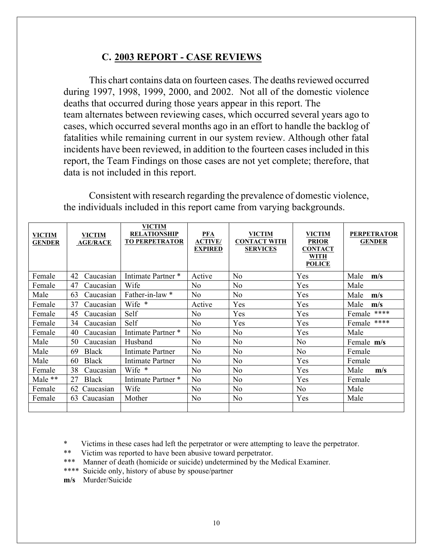# **C. 2003 REPORT - CASE REVIEWS**

This chart contains data on fourteen cases. The deaths reviewed occurred during 1997, 1998, 1999, 2000, and 2002. Not all of the domestic violence deaths that occurred during those years appear in this report. The team alternates between reviewing cases, which occurred several years ago to cases, which occurred several months ago in an effort to handle the backlog of fatalities while remaining current in our system review. Although other fatal incidents have been reviewed, in addition to the fourteen cases included in this report, the Team Findings on those cases are not yet complete; therefore, that data is not included in this report.

Consistent with research regarding the prevalence of domestic violence, the individuals included in this report came from varying backgrounds.

| <b>VICTIM</b><br><b>GENDER</b> | <b>VICTIM</b><br><b>AGE/RACE</b> | <b>VICTIM</b><br><b>RELATIONSHIP</b><br><b>TO PERPETRATOR</b> | $PFA$<br><b>ACTIVE/</b><br><b>EXPIRED</b> | <b>VICTIM</b><br><b>CONTACT WITH</b><br><b>SERVICES</b> | <b>VICTIM</b><br><b>PRIOR</b><br><b>CONTACT</b><br><b>WITH</b><br><b>POLICE</b> | <b>PERPETRATOR</b><br><b>GENDER</b> |
|--------------------------------|----------------------------------|---------------------------------------------------------------|-------------------------------------------|---------------------------------------------------------|---------------------------------------------------------------------------------|-------------------------------------|
| Female                         | 42<br>Caucasian                  | Intimate Partner *                                            | Active                                    | N <sub>o</sub>                                          | Yes                                                                             | Male<br>m/s                         |
| Female                         | 47<br>Caucasian                  | Wife                                                          | No                                        | N <sub>0</sub>                                          | Yes                                                                             | Male                                |
| Male                           | 63<br>Caucasian                  | Father-in-law *                                               | No                                        | No                                                      | Yes                                                                             | Male<br>m/s                         |
| Female                         | 37<br>Caucasian                  | Wife *                                                        | Active                                    | Yes                                                     | Yes                                                                             | Male<br>m/s                         |
| Female                         | 45<br>Caucasian                  | Self                                                          | No                                        | Yes                                                     | Yes                                                                             | Female ****                         |
| Female                         | 34<br>Caucasian                  | Self                                                          | N <sub>0</sub>                            | Yes                                                     | Yes                                                                             | ****<br>Female                      |
| Female                         | 40<br>Caucasian                  | Intimate Partner *                                            | No                                        | N <sub>0</sub>                                          | Yes                                                                             | Male                                |
| Male                           | 50<br>Caucasian                  | Husband                                                       | No                                        | N <sub>o</sub>                                          | N <sub>o</sub>                                                                  | Female m/s                          |
| Male                           | <b>Black</b><br>69               | Intimate Partner                                              | No                                        | N <sub>0</sub>                                          | No                                                                              | Female                              |
| Male                           | Black<br>60                      | Intimate Partner                                              | No                                        | N <sub>0</sub>                                          | Yes                                                                             | Female                              |
| Female                         | 38<br>Caucasian                  | Wife *                                                        | No                                        | N <sub>0</sub>                                          | Yes                                                                             | Male<br>m/s                         |
| Male $**$                      | <b>Black</b><br>27               | Intimate Partner *                                            | No                                        | N <sub>0</sub>                                          | Yes                                                                             | Female                              |
| Female                         | 62<br>Caucasian                  | Wife                                                          | No                                        | N <sub>0</sub>                                          | N <sub>o</sub>                                                                  | Male                                |
| Female                         | 63<br>Caucasian                  | Mother                                                        | No                                        | N <sub>0</sub>                                          | Yes                                                                             | Male                                |
|                                |                                  |                                                               |                                           |                                                         |                                                                                 |                                     |

Victims in these cases had left the perpetrator or were attempting to leave the perpetrator.

- \*\* Victim was reported to have been abusive toward perpetrator.
- \*\*\* Manner of death (homicide or suicide) undetermined by the Medical Examiner.
- \*\*\*\* Suicide only, history of abuse by spouse/partner
- **m/s** Murder/Suicide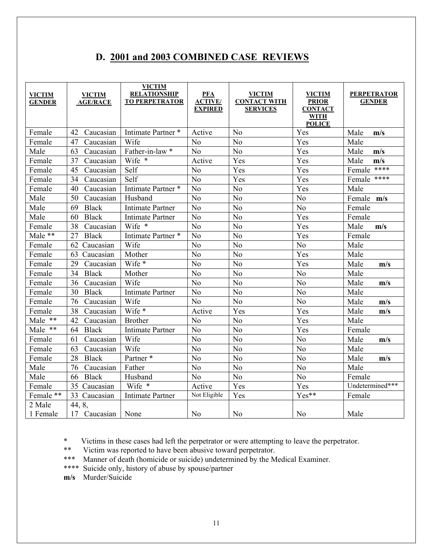# **D. 2001 and 2003 COMBINED CASE REVIEWS**

| <b>VICTIM</b><br><b>GENDER</b> | <b>VICTIM</b><br><b>AGE/RACE</b> | <b>VICTIM</b><br><b>RELATIONSHIP</b><br><b>TO PERPETRATOR</b> | <b>PFA</b><br><b>ACTIVE</b> /<br><b>EXPIRED</b> | <b>VICTIM</b><br><b>CONTACT WITH</b><br><b>SERVICES</b> | <b>VICTIM</b><br><b>PRIOR</b><br><b>CONTACT</b><br><b>WITH</b><br><b>POLICE</b> | <b>PERPETRATOR</b><br><b>GENDER</b> |
|--------------------------------|----------------------------------|---------------------------------------------------------------|-------------------------------------------------|---------------------------------------------------------|---------------------------------------------------------------------------------|-------------------------------------|
| Female                         | 42<br>Caucasian                  | Intimate Partner*                                             | Active                                          | N <sub>o</sub>                                          | Yes                                                                             | Male<br>m/s                         |
| Female                         | 47<br>Caucasian                  | Wife                                                          | N <sub>0</sub>                                  | N <sub>o</sub>                                          | Yes                                                                             | Male                                |
| Male                           | Caucasian<br>63                  | Father-in-law *                                               | N <sub>o</sub>                                  | N <sub>o</sub>                                          | Yes                                                                             | Male<br>m/s                         |
| Female                         | 37<br>Caucasian                  | Wife *                                                        | Active                                          | Yes                                                     | Yes                                                                             | Male<br>m/s                         |
| Female                         | 45<br>Caucasian                  | Self                                                          | N <sub>o</sub>                                  | Yes                                                     | Yes                                                                             | ****<br>Female                      |
| Female                         | 34<br>Caucasian                  | Self                                                          | N <sub>o</sub>                                  | Yes                                                     | Yes                                                                             | Female ****                         |
| Female                         | 40<br>Caucasian                  | Intimate Partner*                                             | N <sub>o</sub>                                  | N <sub>o</sub>                                          | Yes                                                                             | Male                                |
| Male                           | 50<br>Caucasian                  | Husband                                                       | N <sub>0</sub>                                  | No                                                      | N <sub>o</sub>                                                                  | Female m/s                          |
| Male                           | 69<br><b>Black</b>               | <b>Intimate Partner</b>                                       | N <sub>o</sub>                                  | No                                                      | No                                                                              | Female                              |
| Male                           | 60<br><b>Black</b>               | <b>Intimate Partner</b>                                       | N <sub>o</sub>                                  | No                                                      | Yes                                                                             | Female                              |
| Female                         | 38<br>Caucasian                  | Wife *                                                        | N <sub>0</sub>                                  | N <sub>o</sub>                                          | Yes                                                                             | Male<br>m/s                         |
| Male **                        | 27<br><b>Black</b>               | Intimate Partner*                                             | No                                              | No                                                      | Yes                                                                             | Female                              |
| Female                         | 62 Caucasian                     | Wife                                                          | N <sub>o</sub>                                  | N <sub>o</sub>                                          | N <sub>o</sub>                                                                  | Male                                |
| Female                         | 63 Caucasian                     | Mother                                                        | N <sub>o</sub>                                  | No                                                      | Yes                                                                             | Male                                |
| Female                         | 29<br>Caucasian                  | Wife *                                                        | N <sub>o</sub>                                  | N <sub>o</sub>                                          | Yes                                                                             | Male<br>m/s                         |
| Female                         | 34<br><b>Black</b>               | Mother                                                        | N <sub>o</sub>                                  | N <sub>o</sub>                                          | N <sub>o</sub>                                                                  | Male                                |
| Female                         | 36<br>Caucasian                  | Wife                                                          | N <sub>0</sub>                                  | N <sub>o</sub>                                          | N <sub>o</sub>                                                                  | Male<br>m/s                         |
| Female                         | 30<br><b>Black</b>               | <b>Intimate Partner</b>                                       | N <sub>o</sub>                                  | No                                                      | N <sub>o</sub>                                                                  | Male                                |
| Female                         | 76<br>Caucasian                  | Wife                                                          | N <sub>o</sub>                                  | No                                                      | N <sub>o</sub>                                                                  | Male<br>m/s                         |
| Female                         | 38<br>Caucasian                  | Wife *                                                        | Active                                          | Yes                                                     | Yes                                                                             | Male<br>m/s                         |
| Male $**$                      | Caucasian<br>42                  | <b>Brother</b>                                                | N <sub>o</sub>                                  | No                                                      | Yes                                                                             | Male                                |
| Male **                        | <b>Black</b><br>64               | <b>Intimate Partner</b>                                       | N <sub>o</sub>                                  | No                                                      | Yes                                                                             | Female                              |
| Female                         | Caucasian<br>61                  | Wife                                                          | N <sub>0</sub>                                  | N <sub>o</sub>                                          | N <sub>o</sub>                                                                  | Male<br>m/s                         |
| Female                         | Caucasian<br>63                  | Wife                                                          | No                                              | No                                                      | No                                                                              | Male                                |
| Female                         | <b>Black</b><br>28               | Partner <sup>*</sup>                                          | N <sub>o</sub>                                  | No                                                      | N <sub>o</sub>                                                                  | Male<br>m/s                         |
| Male                           | 76<br>Caucasian                  | Father                                                        | N <sub>o</sub>                                  | No                                                      | N <sub>0</sub>                                                                  | Male                                |
| Male                           | <b>Black</b><br>66               | Husband                                                       | N <sub>o</sub>                                  | N <sub>o</sub>                                          | No                                                                              | Female                              |
| Female                         | 35 Caucasian                     | Wife *                                                        | Active                                          | Yes                                                     | Yes                                                                             | Undetermined***                     |
| Female **                      | 33 Caucasian                     | <b>Intimate Partner</b>                                       | Not Eligible                                    | Yes                                                     | Yes**                                                                           | Female                              |
| 2 Male<br>1 Female             | 44, 8,<br>17 Caucasian           | None                                                          | N <sub>o</sub>                                  | N <sub>0</sub>                                          | N <sub>o</sub>                                                                  | Male                                |

\* Victims in these cases had left the perpetrator or were attempting to leave the perpetrator.<br>\*\* Victim was reported to have been abusive toward perpetrator

Victim was reported to have been abusive toward perpetrator.

\*\*\* Manner of death (homicide or suicide) undetermined by the Medical Examiner.

\*\*\*\* Suicide only, history of abuse by spouse/partner

**m/s** Murder/Suicide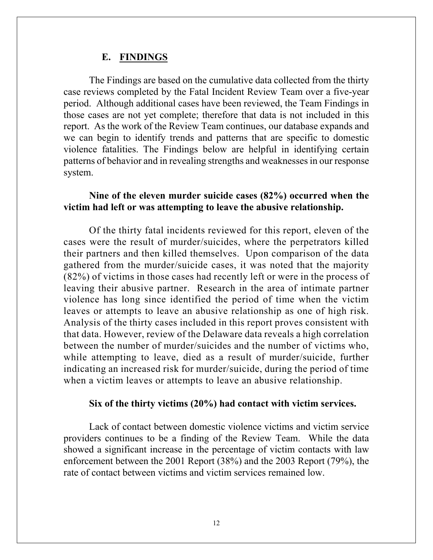#### **E. FINDINGS**

The Findings are based on the cumulative data collected from the thirty case reviews completed by the Fatal Incident Review Team over a five-year period. Although additional cases have been reviewed, the Team Findings in those cases are not yet complete; therefore that data is not included in this report. As the work of the Review Team continues, our database expands and we can begin to identify trends and patterns that are specific to domestic violence fatalities. The Findings below are helpful in identifying certain patterns of behavior and in revealing strengths and weaknesses in our response system.

# **Nine of the eleven murder suicide cases (82%) occurred when the victim had left or was attempting to leave the abusive relationship.**

Of the thirty fatal incidents reviewed for this report, eleven of the cases were the result of murder/suicides, where the perpetrators killed their partners and then killed themselves. Upon comparison of the data gathered from the murder/suicide cases, it was noted that the majority (82%) of victims in those cases had recently left or were in the process of leaving their abusive partner. Research in the area of intimate partner violence has long since identified the period of time when the victim leaves or attempts to leave an abusive relationship as one of high risk. Analysis of the thirty cases included in this report proves consistent with that data. However, review of the Delaware data reveals a high correlation between the number of murder/suicides and the number of victims who, while attempting to leave, died as a result of murder/suicide, further indicating an increased risk for murder/suicide, during the period of time when a victim leaves or attempts to leave an abusive relationship.

#### **Six of the thirty victims (20%) had contact with victim services.**

Lack of contact between domestic violence victims and victim service providers continues to be a finding of the Review Team. While the data showed a significant increase in the percentage of victim contacts with law enforcement between the 2001 Report (38%) and the 2003 Report (79%), the rate of contact between victims and victim services remained low.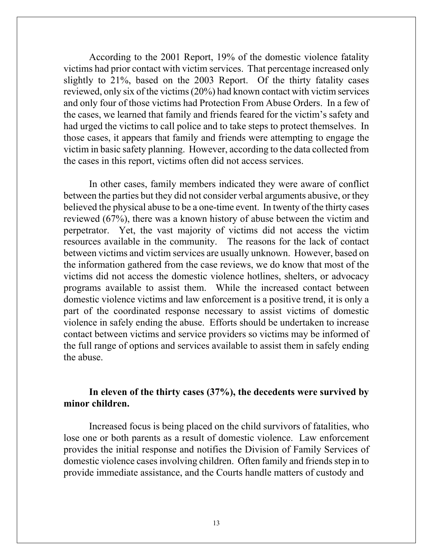According to the 2001 Report, 19% of the domestic violence fatality victims had prior contact with victim services. That percentage increased only slightly to 21%, based on the 2003 Report. Of the thirty fatality cases reviewed, only six of the victims (20%) had known contact with victim services and only four of those victims had Protection From Abuse Orders. In a few of the cases, we learned that family and friends feared for the victim's safety and had urged the victims to call police and to take steps to protect themselves. In those cases, it appears that family and friends were attempting to engage the victim in basic safety planning. However, according to the data collected from the cases in this report, victims often did not access services.

In other cases, family members indicated they were aware of conflict between the parties but they did not consider verbal arguments abusive, or they believed the physical abuse to be a one-time event. In twenty of the thirty cases reviewed (67%), there was a known history of abuse between the victim and perpetrator. Yet, the vast majority of victims did not access the victim resources available in the community. The reasons for the lack of contact between victims and victim services are usually unknown. However, based on the information gathered from the case reviews, we do know that most of the victims did not access the domestic violence hotlines, shelters, or advocacy programs available to assist them. While the increased contact between domestic violence victims and law enforcement is a positive trend, it is only a part of the coordinated response necessary to assist victims of domestic violence in safely ending the abuse. Efforts should be undertaken to increase contact between victims and service providers so victims may be informed of the full range of options and services available to assist them in safely ending the abuse.

# **In eleven of the thirty cases (37%), the decedents were survived by minor children.**

 Increased focus is being placed on the child survivors of fatalities, who lose one or both parents as a result of domestic violence. Law enforcement provides the initial response and notifies the Division of Family Services of domestic violence cases involving children. Often family and friends step in to provide immediate assistance, and the Courts handle matters of custody and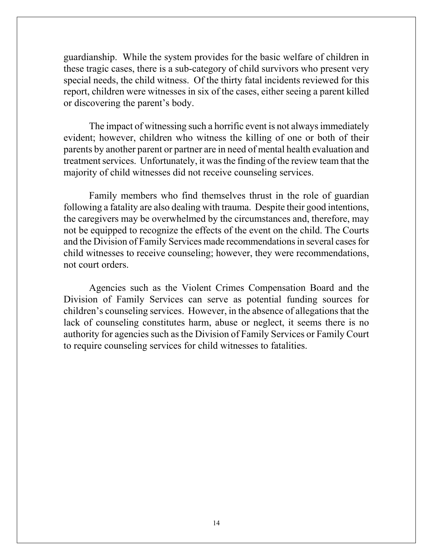guardianship. While the system provides for the basic welfare of children in these tragic cases, there is a sub-category of child survivors who present very special needs, the child witness. Of the thirty fatal incidents reviewed for this report, children were witnesses in six of the cases, either seeing a parent killed or discovering the parent's body.

The impact of witnessing such a horrific event is not always immediately evident; however, children who witness the killing of one or both of their parents by another parent or partner are in need of mental health evaluation and treatment services. Unfortunately, it was the finding of the review team that the majority of child witnesses did not receive counseling services.

Family members who find themselves thrust in the role of guardian following a fatality are also dealing with trauma. Despite their good intentions, the caregivers may be overwhelmed by the circumstances and, therefore, may not be equipped to recognize the effects of the event on the child. The Courts and the Division of Family Services made recommendations in several cases for child witnesses to receive counseling; however, they were recommendations, not court orders.

Agencies such as the Violent Crimes Compensation Board and the Division of Family Services can serve as potential funding sources for children's counseling services. However, in the absence of allegations that the lack of counseling constitutes harm, abuse or neglect, it seems there is no authority for agencies such as the Division of Family Services or Family Court to require counseling services for child witnesses to fatalities.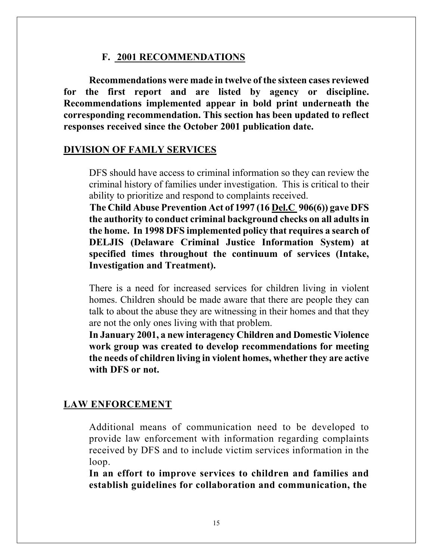#### **F. 2001 RECOMMENDATIONS**

**Recommendations were made in twelve of the sixteen cases reviewed for the first report and are listed by agency or discipline. Recommendations implemented appear in bold print underneath the corresponding recommendation. This section has been updated to reflect responses received since the October 2001 publication date.** 

#### **DIVISION OF FAMLY SERVICES**

DFS should have access to criminal information so they can review the criminal history of families under investigation. This is critical to their ability to prioritize and respond to complaints received.

**The Child Abuse Prevention Act of 1997 (16 Del.C 906(6)) gave DFS the authority to conduct criminal background checks on all adults in the home. In 1998 DFS implemented policy that requires a search of DELJIS (Delaware Criminal Justice Information System) at specified times throughout the continuum of services (Intake, Investigation and Treatment).** 

There is a need for increased services for children living in violent homes. Children should be made aware that there are people they can talk to about the abuse they are witnessing in their homes and that they are not the only ones living with that problem.

**In January 2001, a new interagency Children and Domestic Violence work group was created to develop recommendations for meeting the needs of children living in violent homes, whether they are active with DFS or not.** 

# **LAW ENFORCEMENT**

Additional means of communication need to be developed to provide law enforcement with information regarding complaints received by DFS and to include victim services information in the loop.

**In an effort to improve services to children and families and establish guidelines for collaboration and communication, the**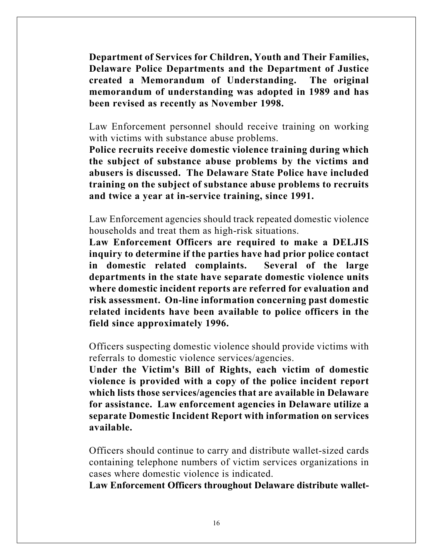**Department of Services for Children, Youth and Their Families, Delaware Police Departments and the Department of Justice created a Memorandum of Understanding. The original memorandum of understanding was adopted in 1989 and has been revised as recently as November 1998.** 

Law Enforcement personnel should receive training on working with victims with substance abuse problems.

**Police recruits receive domestic violence training during which the subject of substance abuse problems by the victims and abusers is discussed. The Delaware State Police have included training on the subject of substance abuse problems to recruits and twice a year at in-service training, since 1991.** 

Law Enforcement agencies should track repeated domestic violence households and treat them as high-risk situations.

**Law Enforcement Officers are required to make a DELJIS inquiry to determine if the parties have had prior police contact in domestic related complaints. Several of the large departments in the state have separate domestic violence units where domestic incident reports are referred for evaluation and risk assessment. On-line information concerning past domestic related incidents have been available to police officers in the field since approximately 1996.** 

Officers suspecting domestic violence should provide victims with referrals to domestic violence services/agencies.

**Under the Victim's Bill of Rights, each victim of domestic violence is provided with a copy of the police incident report which lists those services/agencies that are available in Delaware for assistance. Law enforcement agencies in Delaware utilize a separate Domestic Incident Report with information on services available.** 

Officers should continue to carry and distribute wallet-sized cards containing telephone numbers of victim services organizations in cases where domestic violence is indicated.

**Law Enforcement Officers throughout Delaware distribute wallet-**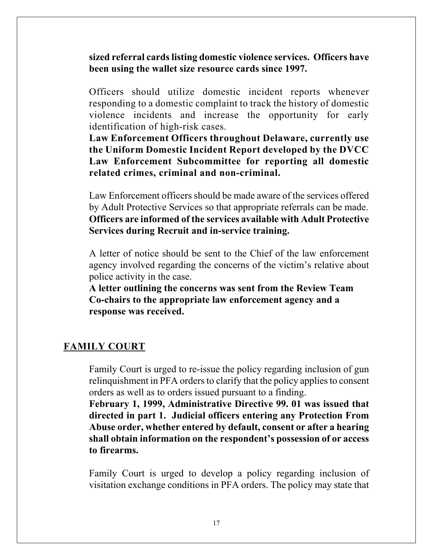**sized referral cards listing domestic violence services. Officers have been using the wallet size resource cards since 1997.** 

Officers should utilize domestic incident reports whenever responding to a domestic complaint to track the history of domestic violence incidents and increase the opportunity for early identification of high-risk cases.

**Law Enforcement Officers throughout Delaware, currently use the Uniform Domestic Incident Report developed by the DVCC Law Enforcement Subcommittee for reporting all domestic related crimes, criminal and non-criminal.** 

Law Enforcement officers should be made aware of the services offered by Adult Protective Services so that appropriate referrals can be made. **Officers are informed of the services available with Adult Protective Services during Recruit and in-service training.** 

A letter of notice should be sent to the Chief of the law enforcement agency involved regarding the concerns of the victim's relative about police activity in the case.

**A letter outlining the concerns was sent from the Review Team Co-chairs to the appropriate law enforcement agency and a response was received.** 

#### **FAMILY COURT**

Family Court is urged to re-issue the policy regarding inclusion of gun relinquishment in PFA orders to clarify that the policy applies to consent orders as well as to orders issued pursuant to a finding.

**February 1, 1999, Administrative Directive 99. 01 was issued that directed in part 1. Judicial officers entering any Protection From Abuse order, whether entered by default, consent or after a hearing shall obtain information on the respondent's possession of or access to firearms.** 

Family Court is urged to develop a policy regarding inclusion of visitation exchange conditions in PFA orders. The policy may state that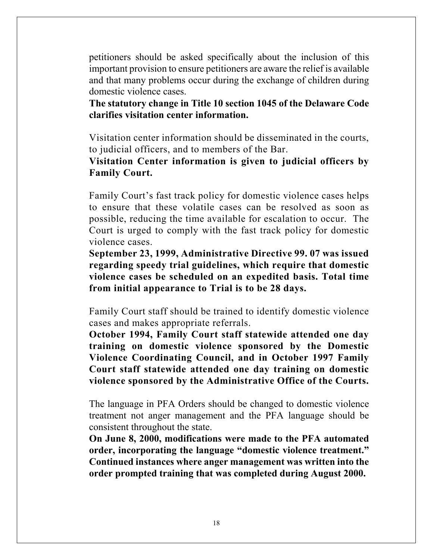petitioners should be asked specifically about the inclusion of this important provision to ensure petitioners are aware the relief is available and that many problems occur during the exchange of children during domestic violence cases.

**The statutory change in Title 10 section 1045 of the Delaware Code clarifies visitation center information.** 

Visitation center information should be disseminated in the courts, to judicial officers, and to members of the Bar.

**Visitation Center information is given to judicial officers by Family Court.** 

Family Court's fast track policy for domestic violence cases helps to ensure that these volatile cases can be resolved as soon as possible, reducing the time available for escalation to occur. The Court is urged to comply with the fast track policy for domestic violence cases.

**September 23, 1999, Administrative Directive 99. 07 was issued regarding speedy trial guidelines, which require that domestic violence cases be scheduled on an expedited basis. Total time from initial appearance to Trial is to be 28 days.** 

Family Court staff should be trained to identify domestic violence cases and makes appropriate referrals.

**October 1994, Family Court staff statewide attended one day training on domestic violence sponsored by the Domestic Violence Coordinating Council, and in October 1997 Family Court staff statewide attended one day training on domestic violence sponsored by the Administrative Office of the Courts.** 

The language in PFA Orders should be changed to domestic violence treatment not anger management and the PFA language should be consistent throughout the state.

**On June 8, 2000, modifications were made to the PFA automated order, incorporating the language "domestic violence treatment." Continued instances where anger management was written into the order prompted training that was completed during August 2000.**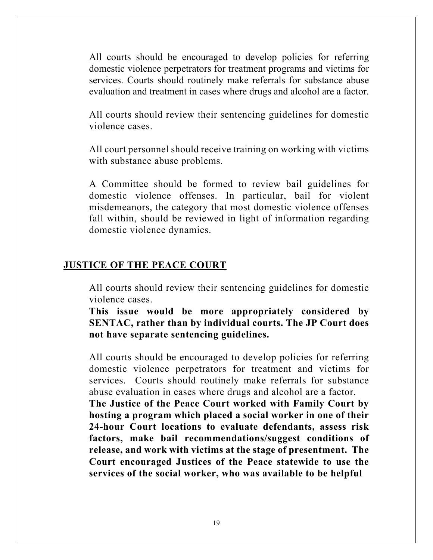All courts should be encouraged to develop policies for referring domestic violence perpetrators for treatment programs and victims for services. Courts should routinely make referrals for substance abuse evaluation and treatment in cases where drugs and alcohol are a factor.

All courts should review their sentencing guidelines for domestic violence cases.

All court personnel should receive training on working with victims with substance abuse problems.

A Committee should be formed to review bail guidelines for domestic violence offenses. In particular, bail for violent misdemeanors, the category that most domestic violence offenses fall within, should be reviewed in light of information regarding domestic violence dynamics.

#### **JUSTICE OF THE PEACE COURT**

All courts should review their sentencing guidelines for domestic violence cases.

**This issue would be more appropriately considered by SENTAC, rather than by individual courts. The JP Court does not have separate sentencing guidelines.** 

All courts should be encouraged to develop policies for referring domestic violence perpetrators for treatment and victims for services. Courts should routinely make referrals for substance abuse evaluation in cases where drugs and alcohol are a factor.

**The Justice of the Peace Court worked with Family Court by hosting a program which placed a social worker in one of their 24-hour Court locations to evaluate defendants, assess risk factors, make bail recommendations/suggest conditions of release, and work with victims at the stage of presentment. The Court encouraged Justices of the Peace statewide to use the services of the social worker, who was available to be helpful**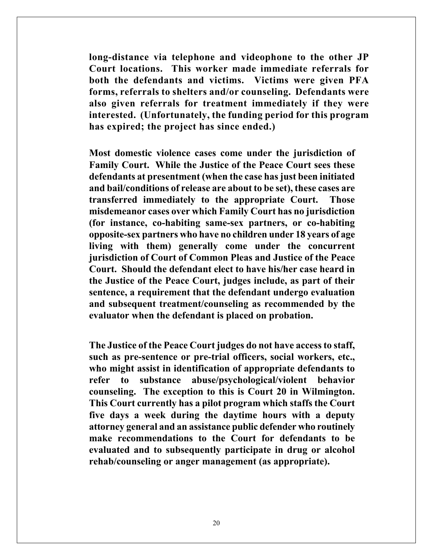**long-distance via telephone and videophone to the other JP Court locations. This worker made immediate referrals for both the defendants and victims. Victims were given PFA forms, referrals to shelters and/or counseling. Defendants were also given referrals for treatment immediately if they were interested. (Unfortunately, the funding period for this program has expired; the project has since ended.)** 

**Most domestic violence cases come under the jurisdiction of Family Court. While the Justice of the Peace Court sees these defendants at presentment (when the case has just been initiated and bail/conditions of release are about to be set), these cases are transferred immediately to the appropriate Court. Those misdemeanor cases over which Family Court has no jurisdiction (for instance, co-habiting same-sex partners, or co-habiting opposite-sex partners who have no children under 18 years of age living with them) generally come under the concurrent jurisdiction of Court of Common Pleas and Justice of the Peace Court. Should the defendant elect to have his/her case heard in the Justice of the Peace Court, judges include, as part of their sentence, a requirement that the defendant undergo evaluation and subsequent treatment/counseling as recommended by the evaluator when the defendant is placed on probation.** 

**The Justice of the Peace Court judges do not have access to staff, such as pre-sentence or pre-trial officers, social workers, etc., who might assist in identification of appropriate defendants to refer to substance abuse/psychological/violent behavior counseling. The exception to this is Court 20 in Wilmington. This Court currently has a pilot program which staffs the Court five days a week during the daytime hours with a deputy attorney general and an assistance public defender who routinely make recommendations to the Court for defendants to be evaluated and to subsequently participate in drug or alcohol rehab/counseling or anger management (as appropriate).**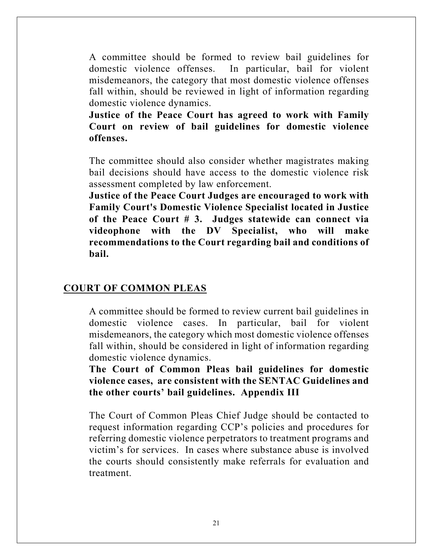A committee should be formed to review bail guidelines for domestic violence offenses. In particular, bail for violent misdemeanors, the category that most domestic violence offenses fall within, should be reviewed in light of information regarding domestic violence dynamics.

**Justice of the Peace Court has agreed to work with Family Court on review of bail guidelines for domestic violence offenses.** 

The committee should also consider whether magistrates making bail decisions should have access to the domestic violence risk assessment completed by law enforcement.

**Justice of the Peace Court Judges are encouraged to work with Family Court's Domestic Violence Specialist located in Justice of the Peace Court # 3. Judges statewide can connect via videophone with the DV Specialist, who will make recommendations to the Court regarding bail and conditions of bail.** 

# **COURT OF COMMON PLEAS**

A committee should be formed to review current bail guidelines in domestic violence cases. In particular, bail for violent misdemeanors, the category which most domestic violence offenses fall within, should be considered in light of information regarding domestic violence dynamics.

**The Court of Common Pleas bail guidelines for domestic violence cases, are consistent with the SENTAC Guidelines and the other courts' bail guidelines. Appendix III** 

The Court of Common Pleas Chief Judge should be contacted to request information regarding CCP's policies and procedures for referring domestic violence perpetrators to treatment programs and victim's for services. In cases where substance abuse is involved the courts should consistently make referrals for evaluation and treatment.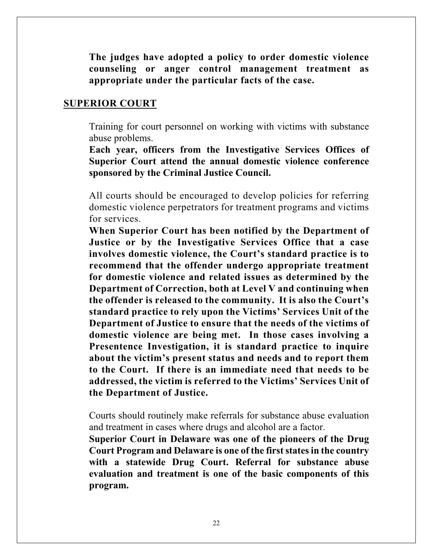**The judges have adopted a policy to order domestic violence counseling or anger control management treatment as appropriate under the particular facts of the case.** 

#### **SUPERIOR COURT**

Training for court personnel on working with victims with substance abuse problems.

**Each year, officers from the Investigative Services Offices of Superior Court attend the annual domestic violence conference sponsored by the Criminal Justice Council.** 

All courts should be encouraged to develop policies for referring domestic violence perpetrators for treatment programs and victims for services.

**When Superior Court has been notified by the Department of Justice or by the Investigative Services Office that a case involves domestic violence, the Court's standard practice is to recommend that the offender undergo appropriate treatment for domestic violence and related issues as determined by the Department of Correction, both at Level V and continuing when the offender is released to the community. It is also the Court's standard practice to rely upon the Victims' Services Unit of the Department of Justice to ensure that the needs of the victims of domestic violence are being met. In those cases involving a Presentence Investigation, it is standard practice to inquire about the victim's present status and needs and to report them to the Court. If there is an immediate need that needs to be addressed, the victim is referred to the Victims' Services Unit of the Department of Justice.** 

Courts should routinely make referrals for substance abuse evaluation and treatment in cases where drugs and alcohol are a factor.

**Superior Court in Delaware was one of the pioneers of the Drug Court Program and Delaware is one of the first states in the country with a statewide Drug Court. Referral for substance abuse evaluation and treatment is one of the basic components of this program.**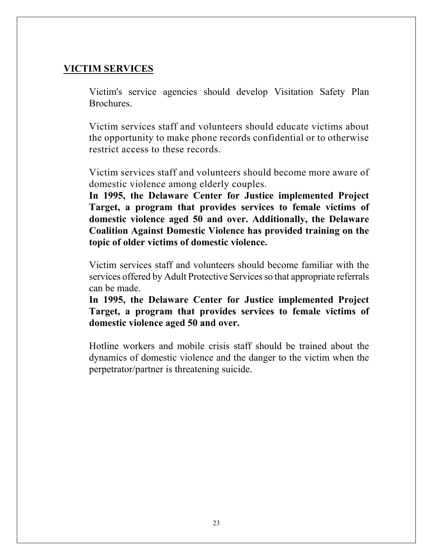# **VICTIM SERVICES**

Victim's service agencies should develop Visitation Safety Plan Brochures.

Victim services staff and volunteers should educate victims about the opportunity to make phone records confidential or to otherwise restrict access to these records.

Victim services staff and volunteers should become more aware of domestic violence among elderly couples.

**In 1995, the Delaware Center for Justice implemented Project Target, a program that provides services to female victims of domestic violence aged 50 and over. Additionally, the Delaware Coalition Against Domestic Violence has provided training on the topic of older victims of domestic violence.** 

Victim services staff and volunteers should become familiar with the services offered by Adult Protective Services so that appropriate referrals can be made.

**In 1995, the Delaware Center for Justice implemented Project Target, a program that provides services to female victims of domestic violence aged 50 and over.** 

Hotline workers and mobile crisis staff should be trained about the dynamics of domestic violence and the danger to the victim when the perpetrator/partner is threatening suicide.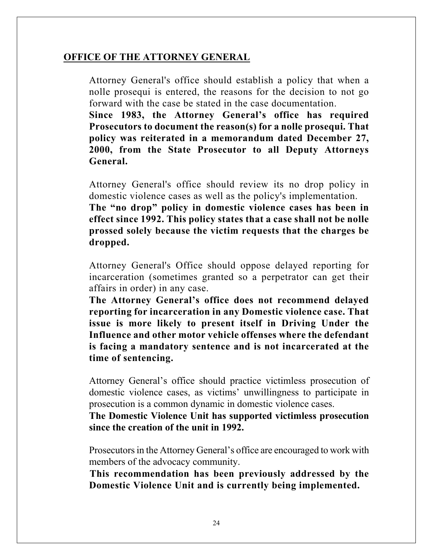# **OFFICE OF THE ATTORNEY GENERAL**

Attorney General's office should establish a policy that when a nolle prosequi is entered, the reasons for the decision to not go forward with the case be stated in the case documentation.

**Since 1983, the Attorney General's office has required Prosecutors to document the reason(s) for a nolle prosequi. That policy was reiterated in a memorandum dated December 27, 2000, from the State Prosecutor to all Deputy Attorneys General.** 

Attorney General's office should review its no drop policy in domestic violence cases as well as the policy's implementation.

**The "no drop" policy in domestic violence cases has been in effect since 1992. This policy states that a case shall not be nolle prossed solely because the victim requests that the charges be dropped.** 

Attorney General's Office should oppose delayed reporting for incarceration (sometimes granted so a perpetrator can get their affairs in order) in any case.

**The Attorney General's office does not recommend delayed reporting for incarceration in any Domestic violence case. That issue is more likely to present itself in Driving Under the Influence and other motor vehicle offenses where the defendant is facing a mandatory sentence and is not incarcerated at the time of sentencing.** 

Attorney General's office should practice victimless prosecution of domestic violence cases, as victims' unwillingness to participate in prosecution is a common dynamic in domestic violence cases.

**The Domestic Violence Unit has supported victimless prosecution since the creation of the unit in 1992.** 

Prosecutors in the Attorney General's office are encouraged to work with members of the advocacy community.

**This recommendation has been previously addressed by the Domestic Violence Unit and is currently being implemented.**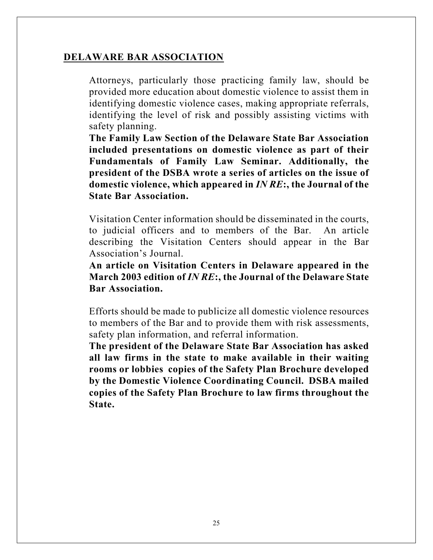# **DELAWARE BAR ASSOCIATION**

Attorneys, particularly those practicing family law, should be provided more education about domestic violence to assist them in identifying domestic violence cases, making appropriate referrals, identifying the level of risk and possibly assisting victims with safety planning.

**The Family Law Section of the Delaware State Bar Association included presentations on domestic violence as part of their Fundamentals of Family Law Seminar. Additionally, the president of the DSBA wrote a series of articles on the issue of domestic violence, which appeared in** *IN RE***:, the Journal of the State Bar Association.** 

Visitation Center information should be disseminated in the courts, to judicial officers and to members of the Bar. An article describing the Visitation Centers should appear in the Bar Association's Journal.

**An article on Visitation Centers in Delaware appeared in the March 2003 edition of** *IN RE***:, the Journal of the Delaware State Bar Association.** 

Efforts should be made to publicize all domestic violence resources to members of the Bar and to provide them with risk assessments, safety plan information, and referral information.

**The president of the Delaware State Bar Association has asked all law firms in the state to make available in their waiting rooms or lobbies copies of the Safety Plan Brochure developed by the Domestic Violence Coordinating Council. DSBA mailed copies of the Safety Plan Brochure to law firms throughout the State.**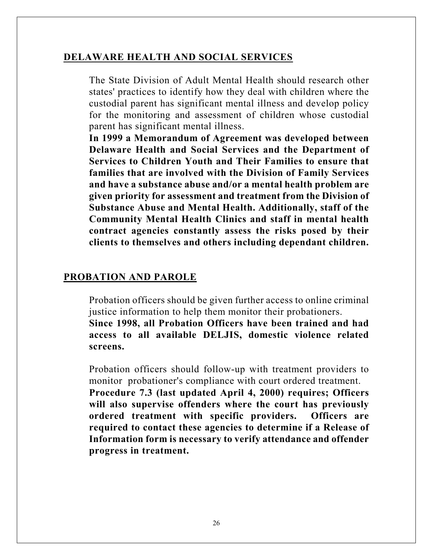# **DELAWARE HEALTH AND SOCIAL SERVICES**

The State Division of Adult Mental Health should research other states' practices to identify how they deal with children where the custodial parent has significant mental illness and develop policy for the monitoring and assessment of children whose custodial parent has significant mental illness.

**In 1999 a Memorandum of Agreement was developed between Delaware Health and Social Services and the Department of Services to Children Youth and Their Families to ensure that families that are involved with the Division of Family Services and have a substance abuse and/or a mental health problem are given priority for assessment and treatment from the Division of Substance Abuse and Mental Health. Additionally, staff of the Community Mental Health Clinics and staff in mental health contract agencies constantly assess the risks posed by their clients to themselves and others including dependant children.** 

# **PROBATION AND PAROLE**

**screens.** 

Probation officers should be given further access to online criminal justice information to help them monitor their probationers. **Since 1998, all Probation Officers have been trained and had access to all available DELJIS, domestic violence related** 

Probation officers should follow-up with treatment providers to monitor probationer's compliance with court ordered treatment.

**Procedure 7.3 (last updated April 4, 2000) requires; Officers will also supervise offenders where the court has previously ordered treatment with specific providers. Officers are required to contact these agencies to determine if a Release of Information form is necessary to verify attendance and offender progress in treatment.**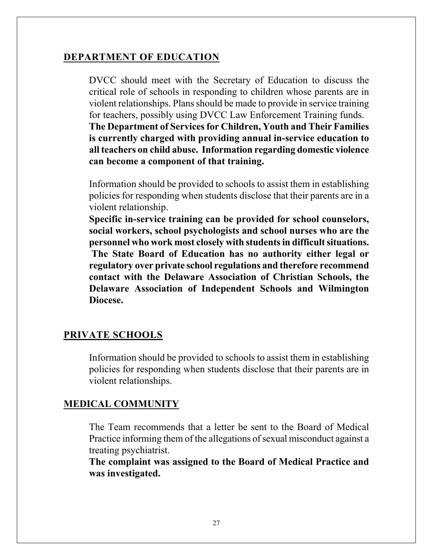# **DEPARTMENT OF EDUCATION**

**can become a component of that training.** 

DVCC should meet with the Secretary of Education to discuss the critical role of schools in responding to children whose parents are in violent relationships. Plans should be made to provide in service training for teachers, possibly using DVCC Law Enforcement Training funds. **The Department of Services for Children, Youth and Their Families is currently charged with providing annual in-service education to all teachers on child abuse. Information regarding domestic violence** 

Information should be provided to schools to assist them in establishing policies for responding when students disclose that their parents are in a violent relationship.

**Specific in-service training can be provided for school counselors, social workers, school psychologists and school nurses who are the personnel who work most closely with students in difficult situations. The State Board of Education has no authority either legal or regulatory over private school regulations and therefore recommend contact with the Delaware Association of Christian Schools, the Delaware Association of Independent Schools and Wilmington Diocese.** 

#### **PRIVATE SCHOOLS**

Information should be provided to schools to assist them in establishing policies for responding when students disclose that their parents are in violent relationships.

#### **MEDICAL COMMUNITY**

The Team recommends that a letter be sent to the Board of Medical Practice informing them of the allegations of sexual misconduct against a treating psychiatrist.

**The complaint was assigned to the Board of Medical Practice and was investigated.**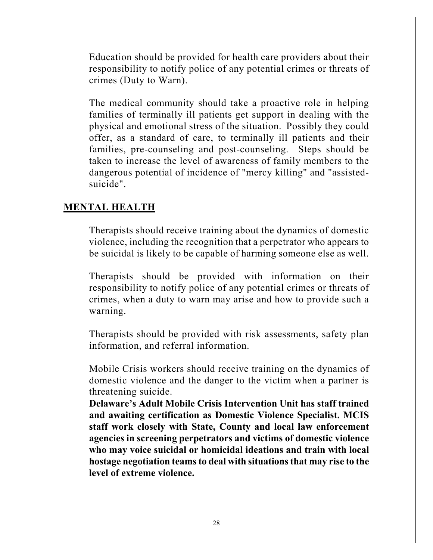Education should be provided for health care providers about their responsibility to notify police of any potential crimes or threats of crimes (Duty to Warn).

The medical community should take a proactive role in helping families of terminally ill patients get support in dealing with the physical and emotional stress of the situation. Possibly they could offer, as a standard of care, to terminally ill patients and their families, pre-counseling and post-counseling. Steps should be taken to increase the level of awareness of family members to the dangerous potential of incidence of "mercy killing" and "assistedsuicide".

# **MENTAL HEALTH**

Therapists should receive training about the dynamics of domestic violence, including the recognition that a perpetrator who appears to be suicidal is likely to be capable of harming someone else as well.

Therapists should be provided with information on their responsibility to notify police of any potential crimes or threats of crimes, when a duty to warn may arise and how to provide such a warning.

Therapists should be provided with risk assessments, safety plan information, and referral information.

Mobile Crisis workers should receive training on the dynamics of domestic violence and the danger to the victim when a partner is threatening suicide.

**Delaware's Adult Mobile Crisis Intervention Unit has staff trained and awaiting certification as Domestic Violence Specialist. MCIS staff work closely with State, County and local law enforcement agencies in screening perpetrators and victims of domestic violence who may voice suicidal or homicidal ideations and train with local hostage negotiation teams to deal with situations that may rise to the level of extreme violence.**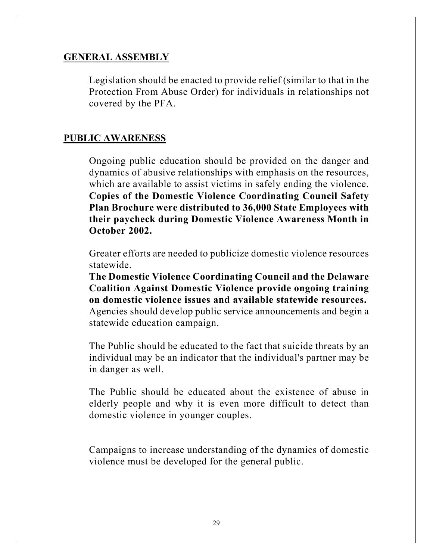# **GENERAL ASSEMBLY**

Legislation should be enacted to provide relief (similar to that in the Protection From Abuse Order) for individuals in relationships not covered by the PFA.

# **PUBLIC AWARENESS**

Ongoing public education should be provided on the danger and dynamics of abusive relationships with emphasis on the resources, which are available to assist victims in safely ending the violence. **Copies of the Domestic Violence Coordinating Council Safety Plan Brochure were distributed to 36,000 State Employees with their paycheck during Domestic Violence Awareness Month in October 2002.** 

Greater efforts are needed to publicize domestic violence resources statewide.

**The Domestic Violence Coordinating Council and the Delaware Coalition Against Domestic Violence provide ongoing training on domestic violence issues and available statewide resources.**  Agencies should develop public service announcements and begin a statewide education campaign.

The Public should be educated to the fact that suicide threats by an individual may be an indicator that the individual's partner may be in danger as well.

The Public should be educated about the existence of abuse in elderly people and why it is even more difficult to detect than domestic violence in younger couples.

Campaigns to increase understanding of the dynamics of domestic violence must be developed for the general public.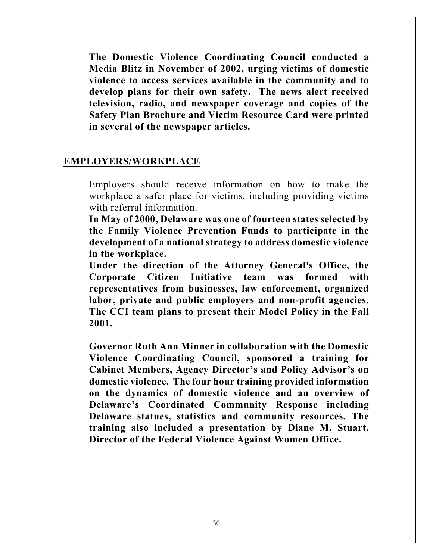**The Domestic Violence Coordinating Council conducted a Media Blitz in November of 2002, urging victims of domestic violence to access services available in the community and to develop plans for their own safety. The news alert received television, radio, and newspaper coverage and copies of the Safety Plan Brochure and Victim Resource Card were printed in several of the newspaper articles.** 

#### **EMPLOYERS/WORKPLACE**

Employers should receive information on how to make the workplace a safer place for victims, including providing victims with referral information

**In May of 2000, Delaware was one of fourteen states selected by the Family Violence Prevention Funds to participate in the development of a national strategy to address domestic violence in the workplace.**

**Under the direction of the Attorney General's Office, the Corporate Citizen Initiative team was formed with representatives from businesses, law enforcement, organized labor, private and public employers and non-profit agencies. The CCI team plans to present their Model Policy in the Fall 2001.** 

**Governor Ruth Ann Minner in collaboration with the Domestic Violence Coordinating Council, sponsored a training for Cabinet Members, Agency Director's and Policy Advisor's on domestic violence. The four hour training provided information on the dynamics of domestic violence and an overview of Delaware's Coordinated Community Response including Delaware statues, statistics and community resources. The training also included a presentation by Diane M. Stuart, Director of the Federal Violence Against Women Office.**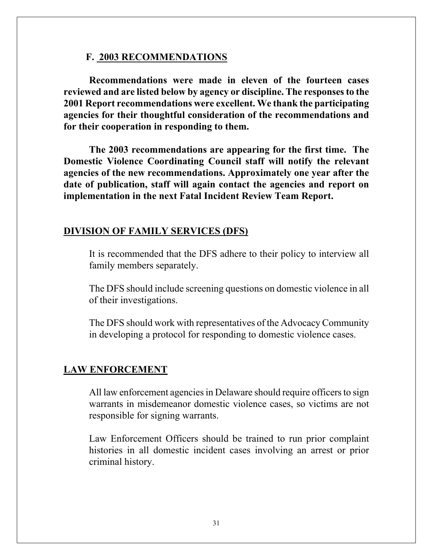#### **F. 2003 RECOMMENDATIONS**

**Recommendations were made in eleven of the fourteen cases reviewed and are listed below by agency or discipline. The responses to the 2001 Report recommendations were excellent. We thank the participating agencies for their thoughtful consideration of the recommendations and for their cooperation in responding to them.** 

**The 2003 recommendations are appearing for the first time. The Domestic Violence Coordinating Council staff will notify the relevant agencies of the new recommendations. Approximately one year after the date of publication, staff will again contact the agencies and report on implementation in the next Fatal Incident Review Team Report.** 

### **DIVISION OF FAMILY SERVICES (DFS)**

It is recommended that the DFS adhere to their policy to interview all family members separately.

The DFS should include screening questions on domestic violence in all of their investigations.

The DFS should work with representatives of the Advocacy Community in developing a protocol for responding to domestic violence cases.

#### **LAW ENFORCEMENT**

All law enforcement agencies in Delaware should require officers to sign warrants in misdemeanor domestic violence cases, so victims are not responsible for signing warrants.

Law Enforcement Officers should be trained to run prior complaint histories in all domestic incident cases involving an arrest or prior criminal history.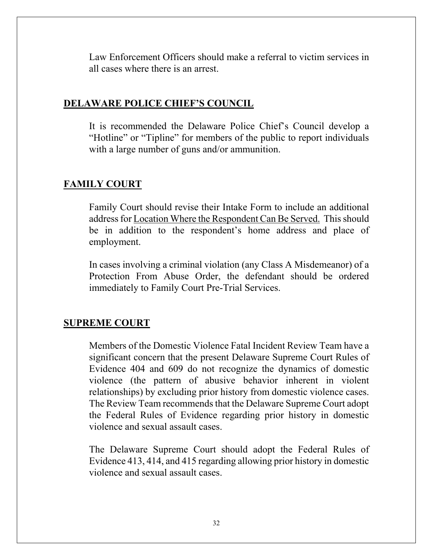Law Enforcement Officers should make a referral to victim services in all cases where there is an arrest.

#### **DELAWARE POLICE CHIEF'S COUNCIL**

It is recommended the Delaware Police Chief's Council develop a "Hotline" or "Tipline" for members of the public to report individuals with a large number of guns and/or ammunition.

# **FAMILY COURT**

Family Court should revise their Intake Form to include an additional address for Location Where the Respondent Can Be Served. This should be in addition to the respondent's home address and place of employment.

In cases involving a criminal violation (any Class A Misdemeanor) of a Protection From Abuse Order, the defendant should be ordered immediately to Family Court Pre-Trial Services.

#### **SUPREME COURT**

Members of the Domestic Violence Fatal Incident Review Team have a significant concern that the present Delaware Supreme Court Rules of Evidence 404 and 609 do not recognize the dynamics of domestic violence (the pattern of abusive behavior inherent in violent relationships) by excluding prior history from domestic violence cases. The Review Team recommends that the Delaware Supreme Court adopt the Federal Rules of Evidence regarding prior history in domestic violence and sexual assault cases.

The Delaware Supreme Court should adopt the Federal Rules of Evidence 413, 414, and 415 regarding allowing prior history in domestic violence and sexual assault cases.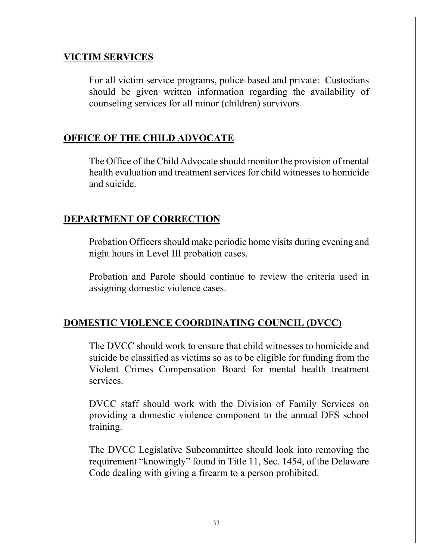# **VICTIM SERVICES**

For all victim service programs, police-based and private: Custodians should be given written information regarding the availability of counseling services for all minor (children) survivors.

# **OFFICE OF THE CHILD ADVOCATE**

The Office of the Child Advocate should monitor the provision of mental health evaluation and treatment services for child witnesses to homicide and suicide.

# **DEPARTMENT OF CORRECTION**

Probation Officers should make periodic home visits during evening and night hours in Level III probation cases.

Probation and Parole should continue to review the criteria used in assigning domestic violence cases.

# **DOMESTIC VIOLENCE COORDINATING COUNCIL (DVCC)**

The DVCC should work to ensure that child witnesses to homicide and suicide be classified as victims so as to be eligible for funding from the Violent Crimes Compensation Board for mental health treatment services.

DVCC staff should work with the Division of Family Services on providing a domestic violence component to the annual DFS school training.

The DVCC Legislative Subcommittee should look into removing the requirement "knowingly" found in Title 11, Sec. 1454, of the Delaware Code dealing with giving a firearm to a person prohibited.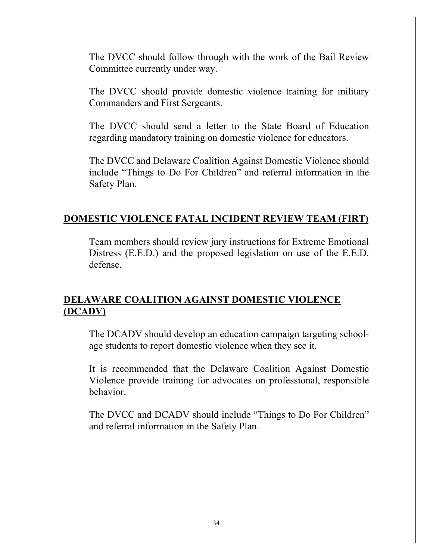The DVCC should follow through with the work of the Bail Review Committee currently under way.

The DVCC should provide domestic violence training for military Commanders and First Sergeants.

The DVCC should send a letter to the State Board of Education regarding mandatory training on domestic violence for educators.

The DVCC and Delaware Coalition Against Domestic Violence should include "Things to Do For Children" and referral information in the Safety Plan.

# **DOMESTIC VIOLENCE FATAL INCIDENT REVIEW TEAM (FIRT)**

Team members should review jury instructions for Extreme Emotional Distress (E.E.D.) and the proposed legislation on use of the E.E.D. defense.

# **DELAWARE COALITION AGAINST DOMESTIC VIOLENCE (DCADV)**

The DCADV should develop an education campaign targeting schoolage students to report domestic violence when they see it.

It is recommended that the Delaware Coalition Against Domestic Violence provide training for advocates on professional, responsible behavior.

The DVCC and DCADV should include "Things to Do For Children" and referral information in the Safety Plan.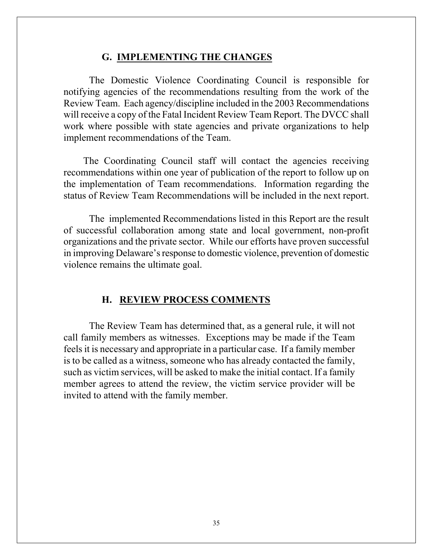#### **G. IMPLEMENTING THE CHANGES**

 The Domestic Violence Coordinating Council is responsible for notifying agencies of the recommendations resulting from the work of the Review Team. Each agency/discipline included in the 2003 Recommendations will receive a copy of the Fatal Incident Review Team Report. The DVCC shall work where possible with state agencies and private organizations to help implement recommendations of the Team.

 The Coordinating Council staff will contact the agencies receiving recommendations within one year of publication of the report to follow up on the implementation of Team recommendations. Information regarding the status of Review Team Recommendations will be included in the next report.

 The implemented Recommendations listed in this Report are the result of successful collaboration among state and local government, non-profit organizations and the private sector. While our efforts have proven successful in improving Delaware's response to domestic violence, prevention of domestic violence remains the ultimate goal.

#### **H. REVIEW PROCESS COMMENTS**

The Review Team has determined that, as a general rule, it will not call family members as witnesses. Exceptions may be made if the Team feels it is necessary and appropriate in a particular case. If a family member is to be called as a witness, someone who has already contacted the family, such as victim services, will be asked to make the initial contact. If a family member agrees to attend the review, the victim service provider will be invited to attend with the family member.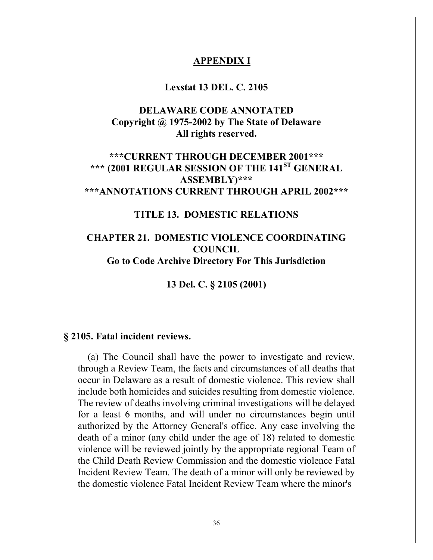#### **APPENDIX I**

#### **Lexstat 13 DEL. C. 2105**

# **DELAWARE CODE ANNOTATED Copyright @ 1975-2002 by The State of Delaware All rights reserved.**

# **\*\*\*CURRENT THROUGH DECEMBER 2001\*\*\* \*\*\* (2001 REGULAR SESSION OF THE 141ST GENERAL ASSEMBLY)\*\*\* \*\*\*ANNOTATIONS CURRENT THROUGH APRIL 2002\*\*\***

### **TITLE 13. DOMESTIC RELATIONS**

# **CHAPTER 21. DOMESTIC VIOLENCE COORDINATING COUNCIL Go to Code Archive Directory For This Jurisdiction**

**13 Del. C. § 2105 (2001)** 

#### **§ 2105. Fatal incident reviews.**

(a) The Council shall have the power to investigate and review, through a Review Team, the facts and circumstances of all deaths that occur in Delaware as a result of domestic violence. This review shall include both homicides and suicides resulting from domestic violence. The review of deaths involving criminal investigations will be delayed for a least 6 months, and will under no circumstances begin until authorized by the Attorney General's office. Any case involving the death of a minor (any child under the age of 18) related to domestic violence will be reviewed jointly by the appropriate regional Team of the Child Death Review Commission and the domestic violence Fatal Incident Review Team. The death of a minor will only be reviewed by the domestic violence Fatal Incident Review Team where the minor's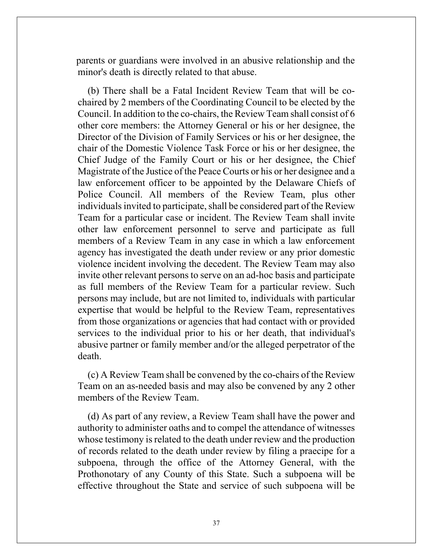parents or guardians were involved in an abusive relationship and the minor's death is directly related to that abuse.

(b) There shall be a Fatal Incident Review Team that will be cochaired by 2 members of the Coordinating Council to be elected by the Council. In addition to the co-chairs, the Review Team shall consist of 6 other core members: the Attorney General or his or her designee, the Director of the Division of Family Services or his or her designee, the chair of the Domestic Violence Task Force or his or her designee, the Chief Judge of the Family Court or his or her designee, the Chief Magistrate of the Justice of the Peace Courts or his or her designee and a law enforcement officer to be appointed by the Delaware Chiefs of Police Council. All members of the Review Team, plus other individuals invited to participate, shall be considered part of the Review Team for a particular case or incident. The Review Team shall invite other law enforcement personnel to serve and participate as full members of a Review Team in any case in which a law enforcement agency has investigated the death under review or any prior domestic violence incident involving the decedent. The Review Team may also invite other relevant persons to serve on an ad-hoc basis and participate as full members of the Review Team for a particular review. Such persons may include, but are not limited to, individuals with particular expertise that would be helpful to the Review Team, representatives from those organizations or agencies that had contact with or provided services to the individual prior to his or her death, that individual's abusive partner or family member and/or the alleged perpetrator of the death.

(c) A Review Team shall be convened by the co-chairs of the Review Team on an as-needed basis and may also be convened by any 2 other members of the Review Team.

(d) As part of any review, a Review Team shall have the power and authority to administer oaths and to compel the attendance of witnesses whose testimony is related to the death under review and the production of records related to the death under review by filing a praecipe for a subpoena, through the office of the Attorney General, with the Prothonotary of any County of this State. Such a subpoena will be effective throughout the State and service of such subpoena will be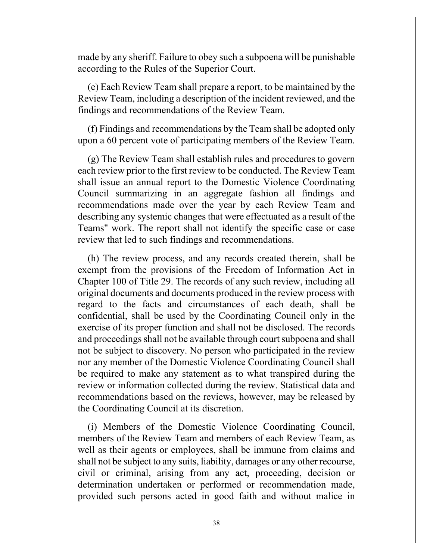made by any sheriff. Failure to obey such a subpoena will be punishable according to the Rules of the Superior Court.

(e) Each Review Team shall prepare a report, to be maintained by the Review Team, including a description of the incident reviewed, and the findings and recommendations of the Review Team.

(f) Findings and recommendations by the Team shall be adopted only upon a 60 percent vote of participating members of the Review Team.

(g) The Review Team shall establish rules and procedures to govern each review prior to the first review to be conducted. The Review Team shall issue an annual report to the Domestic Violence Coordinating Council summarizing in an aggregate fashion all findings and recommendations made over the year by each Review Team and describing any systemic changes that were effectuated as a result of the Teams" work. The report shall not identify the specific case or case review that led to such findings and recommendations.

(h) The review process, and any records created therein, shall be exempt from the provisions of the Freedom of Information Act in Chapter 100 of Title 29. The records of any such review, including all original documents and documents produced in the review process with regard to the facts and circumstances of each death, shall be confidential, shall be used by the Coordinating Council only in the exercise of its proper function and shall not be disclosed. The records and proceedings shall not be available through court subpoena and shall not be subject to discovery. No person who participated in the review nor any member of the Domestic Violence Coordinating Council shall be required to make any statement as to what transpired during the review or information collected during the review. Statistical data and recommendations based on the reviews, however, may be released by the Coordinating Council at its discretion.

(i) Members of the Domestic Violence Coordinating Council, members of the Review Team and members of each Review Team, as well as their agents or employees, shall be immune from claims and shall not be subject to any suits, liability, damages or any other recourse, civil or criminal, arising from any act, proceeding, decision or determination undertaken or performed or recommendation made, provided such persons acted in good faith and without malice in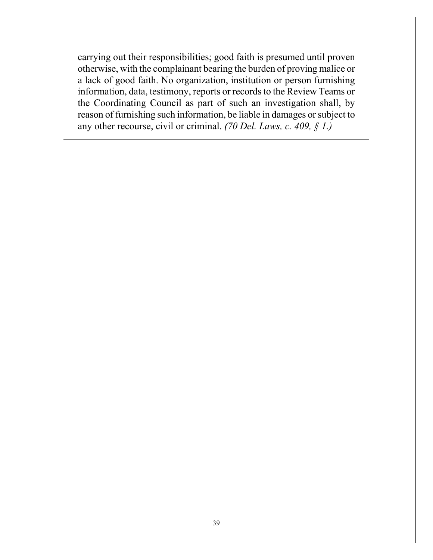carrying out their responsibilities; good faith is presumed until proven otherwise, with the complainant bearing the burden of proving malice or a lack of good faith. No organization, institution or person furnishing information, data, testimony, reports or records to the Review Teams or the Coordinating Council as part of such an investigation shall, by reason of furnishing such information, be liable in damages or subject to any other recourse, civil or criminal. *(70 Del. Laws, c. 409, § 1.)*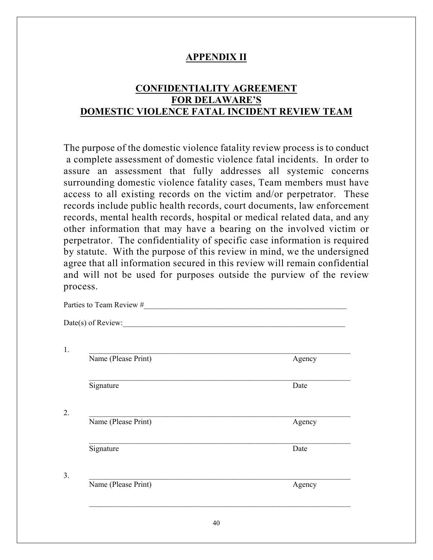# **APPENDIX II**

# **CONFIDENTIALITY AGREEMENT FOR DELAWARE'S DOMESTIC VIOLENCE FATAL INCIDENT REVIEW TEAM**

The purpose of the domestic violence fatality review process is to conduct a complete assessment of domestic violence fatal incidents. In order to assure an assessment that fully addresses all systemic concerns surrounding domestic violence fatality cases, Team members must have access to all existing records on the victim and/or perpetrator. These records include public health records, court documents, law enforcement records, mental health records, hospital or medical related data, and any other information that may have a bearing on the involved victim or perpetrator. The confidentiality of specific case information is required by statute. With the purpose of this review in mind, we the undersigned agree that all information secured in this review will remain confidential and will not be used for purposes outside the purview of the review process.

| $Date(s)$ of Review: |        |
|----------------------|--------|
| Name (Please Print)  | Agency |
| Signature            | Date   |
| Name (Please Print)  | Agency |
| Signature            | Date   |
| Name (Please Print)  | Agency |

Parties to Team Review #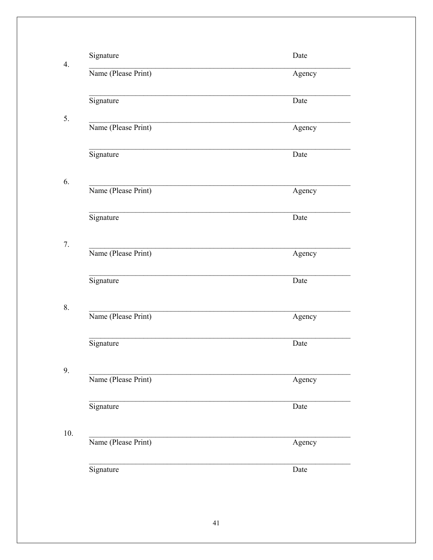| 4.  | Signature           | Date   |
|-----|---------------------|--------|
|     | Name (Please Print) | Agency |
| 5.  | Signature           | Date   |
|     | Name (Please Print) | Agency |
|     | Signature           | Date   |
| 6.  | Name (Please Print) | Agency |
|     | Signature           | Date   |
| 7.  | Name (Please Print) | Agency |
|     | Signature           | Date   |
| 8.  | Name (Please Print) | Agency |
|     | Signature           | Date   |
| 9.  | Name (Please Print) | Agency |
|     | Signature           | Date   |
| 10. | Name (Please Print) | Agency |
|     | Signature           | Date   |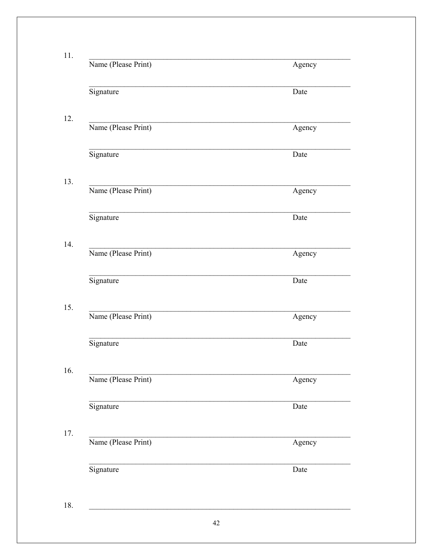| Name (Please Print) | Agency |
|---------------------|--------|
| Signature           | Date   |
| Name (Please Print) | Agency |
| Signature           | Date   |
| Name (Please Print) | Agency |
| Signature           | Date   |
| Name (Please Print) | Agency |
| Signature           | Date   |
| Name (Please Print) | Agency |
| Signature           | Date   |
| Name (Please Print) | Agency |
| Signature           | Date   |
| Name (Please Print) | Agency |
| Signature           | Date   |
|                     |        |